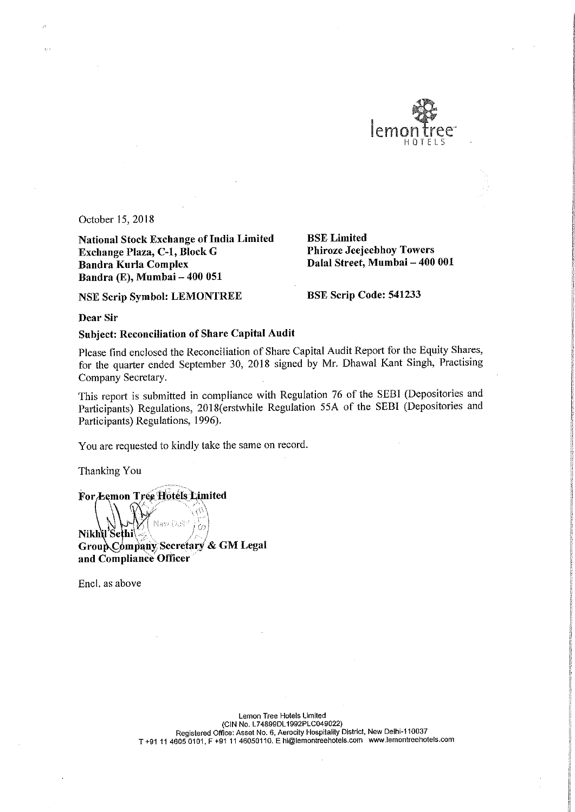

October 15, 2018

National Stock Exchange of India Limited<br> **Exchange Plaza, C-1, Block G** Phiroze Jeejeebhoy Towers Exchange Plaza, C-1, Block G Bandra Kurla Complex Bandra (E), Mumbai -- 400 051

Dalal Street, Mumbai - 400 001

NSE Scrip Symbol: LEMONTREE BSE Scrip Code: <sup>541233</sup>

Dear Sir

Subject: Reconciliation of Share Capital Audit

Please find enclosed the Reconciliation of Share Capital Audit Report for the Equity Shares, for the quarter ended September 30, <sup>2018</sup> signed by Mr. Dhawal Kant Singh, Practising Company Secretary.

This report is submitted in compliance with Regulation <sup>76</sup> of the SEBI (Depositories and Participants) Regulations, 2018(erstwhile Regulation 55A of the SEBI (Depositories and Participants) Regulations, 1996).

You are requested to kindly take the same on record.

Thanking You

For Lemon Tree Hotels Limited New Oolf<sup>1</sup> Nikh\l'Sethi Group Company Secretary & GM Legal and Compliance Officer

Encl. as above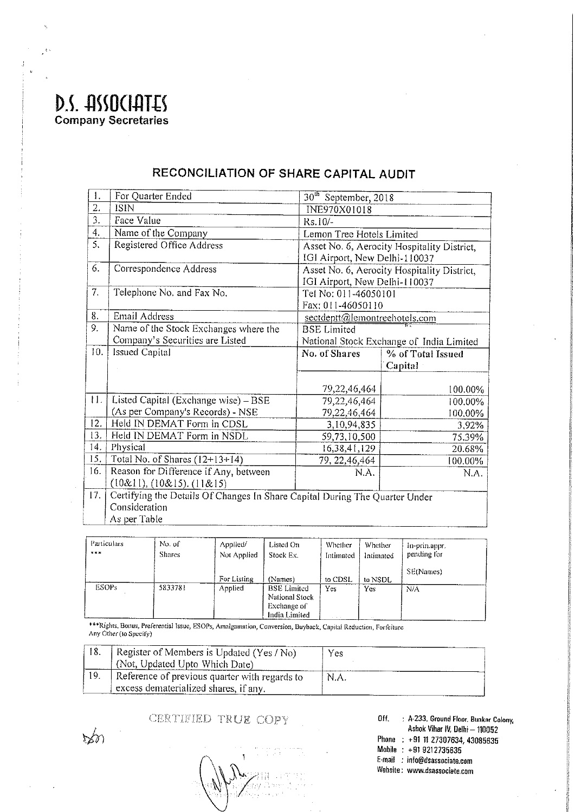D.S. ASSOCIATES **Company Secretaries** 

| 1.  | For Quarter Ended                                                           | 30 <sup>th</sup> September, 2018         |                                             |  |
|-----|-----------------------------------------------------------------------------|------------------------------------------|---------------------------------------------|--|
| 2.  | <b>ISIN</b>                                                                 | INE970X01018                             |                                             |  |
| 3.  | Face Value                                                                  | $Rs.10/-$                                |                                             |  |
| 4.  | Name of the Company                                                         | Lemon Tree Hotels Limited                |                                             |  |
| 5.  | Registered Office Address                                                   |                                          | Asset No. 6, Aerocity Hospitality District, |  |
|     |                                                                             | IGI Airport, New Delhi-110037            |                                             |  |
| 6.  | Correspondence Address                                                      |                                          | Asset No. 6, Aerocity Hospitality District, |  |
|     |                                                                             |                                          | IGI Airport, New Delhi-110037               |  |
| 7.  | Telephone No. and Fax No.                                                   |                                          | Tel No: 011-46050101                        |  |
|     |                                                                             |                                          | Fax: 011-46050110                           |  |
| 8.  | Email Address                                                               |                                          | sectdeptt@lemontreehotels.com               |  |
| 9.  | Name of the Stock Exchanges where the                                       | <b>BSE</b> Limited                       |                                             |  |
|     | Company's Securities are Listed                                             | National Stock Exchange of India Limited |                                             |  |
| 10. | <b>Issued Capital</b>                                                       | No. of Shares                            | % of Total Issued                           |  |
|     |                                                                             |                                          |                                             |  |
|     |                                                                             |                                          | Capital                                     |  |
|     |                                                                             |                                          |                                             |  |
|     |                                                                             | 79,22,46,464                             | 100.00%                                     |  |
| 11. | Listed Capital (Exchange wise) - BSE                                        | 79,22,46,464                             | 100.00%                                     |  |
|     | (As per Company's Records) - NSE                                            | 79,22,46,464                             | 100.00%                                     |  |
| 12. | Held IN DEMAT Form in CDSL                                                  | 3,10,94,835                              | 3,92%                                       |  |
| 13. | Held IN DEMAT Form in NSDL                                                  | 59,73,10,500                             | 75.39%                                      |  |
| 14. | Physical                                                                    | 16,38,41,129                             | 20.68%                                      |  |
| 15. | Total No. of Shares $(12+13+14)$                                            | 79, 22, 46, 464                          | 100.00%                                     |  |
| 16. | Reason for Difference if Any, between                                       | N.A.                                     | N.A.                                        |  |
|     | (10&11), (10&15), (11&15)                                                   |                                          |                                             |  |
| 17. | Certifying the Details Of Changes In Share Capital During The Quarter Under |                                          |                                             |  |
|     | Consideration<br>As per Table                                               |                                          |                                             |  |

## RECONCILIATION OF SHARE CAPITAL AUDIT

Particulars No. of Applied/ Listed On Whether Whether In-prin.appr.  $\mathbf{x} \times \mathbf{x}$ Shares Not Applied Stock Ex. pending for Intimated Intimated SE(Names) For Listing (Names) to CDSL to NSDI. **ESOPs** 5833781 Yes Applied **BSE** Limited  $\overline{N/A}$  $\overline{Yes}$ National Stock **Exchange of** India Limited

\*\*\*Rights, Bonus, Preferential Issue, ESOPs, Amalgamation, Conversion, Buyback, Capital Reduction, Forfeiture Any Other (to Specify)

|     | Register of Members is Updated (Yes $/N_0$ )  | Yes  |
|-----|-----------------------------------------------|------|
|     | (Not, Updated Upto Which Date)                |      |
| 19. | Reference of previous quarter with regards to | N.A. |
|     | excess dematerialized shares, if any.         |      |

CERTIFIED TRUE COPY

: A-233, Ground Floor, Bunkar Colony, Off. Ashok Vihar IV, Delhi - 110052 Phone : +91 11 27307634, 43085635 Mobile: +91 9212735635 E-mail : info@dsassociate.com Website: www.dsassociate.com

 $\sum \delta$